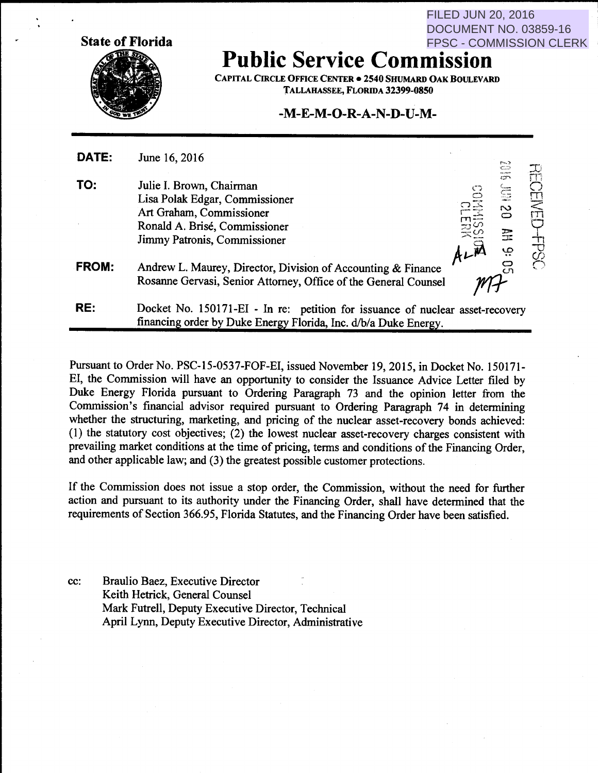**State of Florida** 

FILED JUN 20, 2016 DOCUMENT NO. 03859-16 FPSC - COMMISSION CLERK

### **Public Service Commission**

CAPITAL CIRCLE OFFICE CENTER • 2540 SHUMARD OAK BOULEVARD TALLAHASSEE, FLORIDA 32399-0850

#### **-M-E-M-0-R-A-N-D-U-M-**

| DATE:        | June 16, 2016                                                                                                                                           |                                                  |              |
|--------------|---------------------------------------------------------------------------------------------------------------------------------------------------------|--------------------------------------------------|--------------|
| TO:          | Julie I. Brown, Chairman<br>Lisa Polak Edgar, Commissioner<br>Art Graham, Commissioner<br>Ronald A. Brisé, Commissioner<br>Jimmy Patronis, Commissioner | وسم<br>السنة<br>سببہ<br>سیا<br>$\mathbb{S}$<br>芸 | CEIVI<br>ГTĪ |
| <b>FROM:</b> | Andrew L. Maurey, Director, Division of Accounting & Finance<br>Rosanne Gervasi, Senior Attorney, Office of the General Counsel                         | ڥ                                                |              |
| RE:          | Docket No. 150171-EI - In re: petition for issuance of nuclear asset-recovery<br>financing order by Duke Energy Florida, Inc. d/b/a Duke Energy.        |                                                  |              |

Pursuant to Order No. PSC-15-0537-FOF-EI, issued November 19, 2015, in Docket No. 150171- EI, the Commission will have an opportunity to consider the Issuance Advice Letter filed by Duke Energy Florida pursuant to Ordering Paragraph 73 and the opinion letter from the Commission's financial advisor required pursuant to Ordering Paragraph 74 in determining whether the structuring, marketing, and pricing of the nuclear asset-recovery bonds achieved: (1) the statutory cost objectives; (2) the lowest nuclear asset-recovery charges consistent with prevailing market conditions at the time of pricing, terms and conditions of the Financing Order, and other applicable law; and (3) the greatest possible customer protections.

If the Commission does not issue a stop order, the Commission, without the need for further action and pursuant to its authority under the Financing Order, shall have determined that the requirements of Section 366.95, Florida Statutes, and the Financing Order have been satisfied.

cc: Braulio Baez, Executive Director Keith Hetrick, General Counsel Mark Futrell, Deputy Executive Director, Technical April Lynn, Deputy Executive Director, Administrative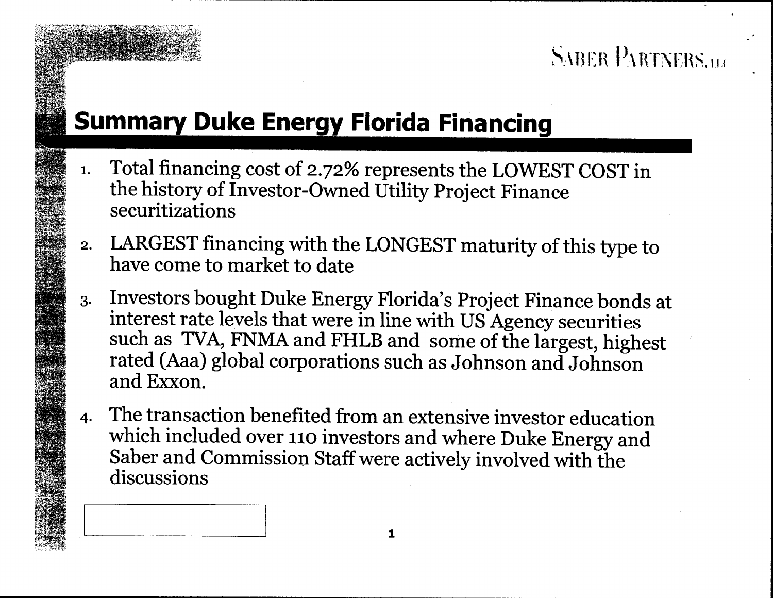# **Florida Financin**

1. Total financing cost of 2.72% represents the LOWEST COST in the history of Investor-Owned Utility Project Finance securitizations

SABER PARTNERS.u.

- 2. LARGEST financing with the LONGEST maturity of this type to have come to market to date
- 3. Investors bought Duke Energy Florida's Project Finance bonds at interest rate levels that were in line with US Agency securities such as TVA, FNMA and FHLB and some of the largest, highest rated (Aaa) global corporation and Exxon.
- 4· The transaction benefited from an extensive investor education which included over 110 investors and where Duke Energy and Saber and Commission Staff were actively involved with the discussions

1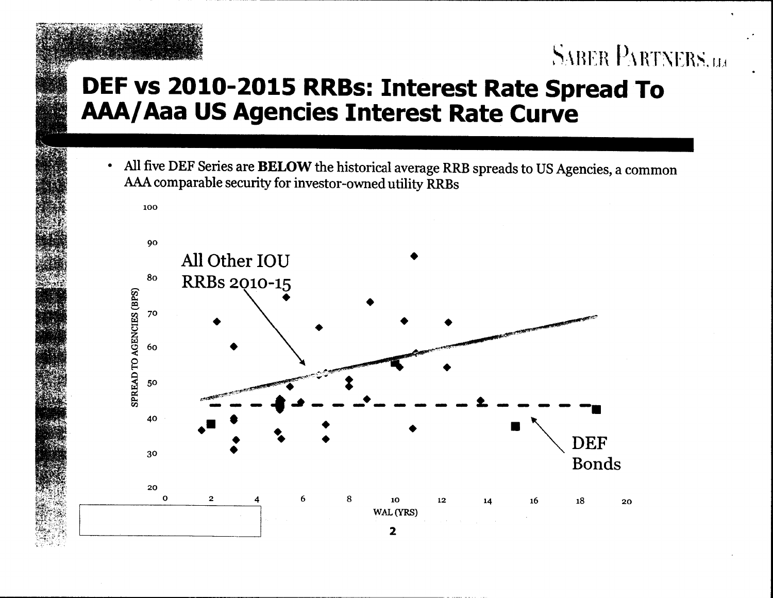## DEF vs 2010-2015 RRBs: Interest Rate Spread To AAA/Aaa US Agencies Interest Rate Curve

**SABER PARTNERS.u.** 

All five DEF Series are BELOW the historical average RRB spreads to US Agencies, a common  $\bullet$ AAA comparable security for investor-owned utility RRBs

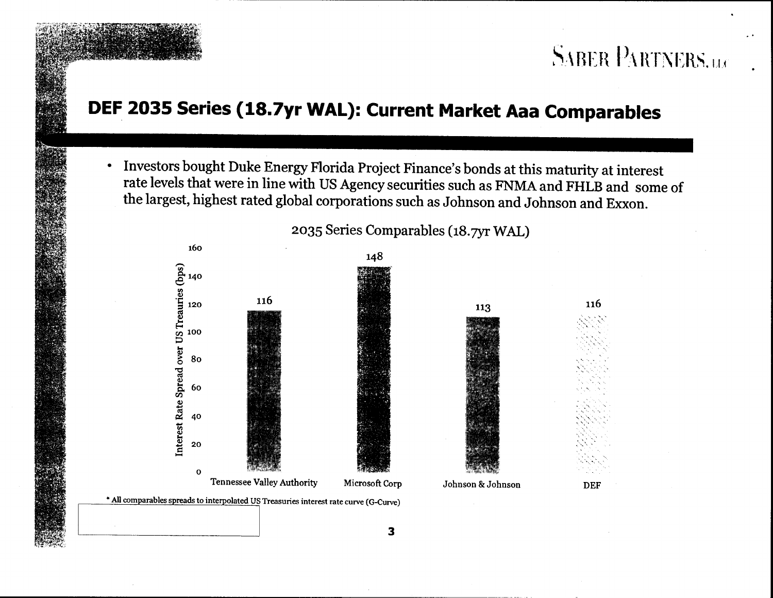## DEF 2035 Series (18.7yr WAL): Current Market Aaa Comparables

Investors bought Duke Energy Florida Project Finance's bonds at this maturity at interest  $\bullet$ rate levels that were in line with US Agency securities such as FNMA and FHLB and some of the largest, highest rated global corporations such as Johnson and Johnson and Exxon.



2035 Series Comparables (18.7yr WAL)

**SABER PARTNERS.us** 

3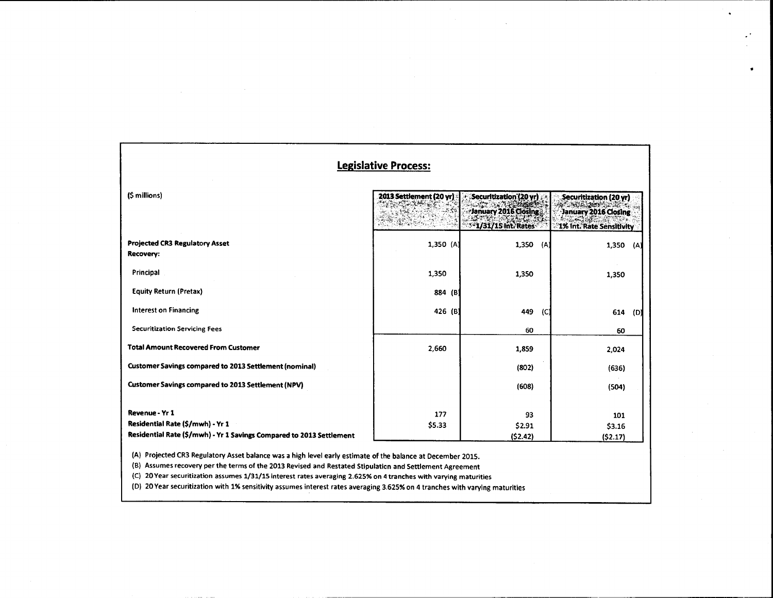| (\$ millions)                                                        | 2013 Settlement (20 yr) | Securitization (20 yr).<br>January 2016 Closing<br>$-1/31/15$ int. Rates | Securitization (20 yr)<br>January 2016 Closing<br>1% Int. Rate Sensitivity |
|----------------------------------------------------------------------|-------------------------|--------------------------------------------------------------------------|----------------------------------------------------------------------------|
| <b>Projected CR3 Regulatory Asset</b><br>Recovery:                   | 1,350 (A)               | 1,350<br>(A)                                                             | 1,350<br>(A)                                                               |
| Principal                                                            | 1,350                   | 1,350                                                                    | 1,350                                                                      |
| <b>Equity Return (Pretax)</b>                                        | 884 (B)                 |                                                                          |                                                                            |
| <b>Interest on Financing</b>                                         | 426 (B)                 | 449<br>(C)                                                               | 614<br>(D)                                                                 |
| <b>Securitization Servicing Fees</b>                                 |                         | 60                                                                       | 60                                                                         |
| <b>Total Amount Recovered From Customer</b>                          | 2,660                   | 1,859                                                                    | 2,024                                                                      |
| <b>Customer Savings compared to 2013 Settlement (nominal)</b>        |                         | (802)                                                                    | (636)                                                                      |
| <b>Customer Savings compared to 2013 Settlement (NPV)</b>            |                         | (608)                                                                    | (504)                                                                      |
| Revenue - Yr 1                                                       | 177                     | 93                                                                       | 101                                                                        |
| Residential Rate (\$/mwh) - Yr 1                                     | \$5.33                  | \$2.91                                                                   | \$3.16                                                                     |
| Residential Rate (\$/mwh) - Yr 1 Savings Compared to 2013 Settlement |                         | (52.42)                                                                  | (52.17)                                                                    |

------------------------------------------------------------------------

 $\Delta$ 

 $\bullet$ 

 $\bullet$ 

(B) Assumes recovery per the terms of the 2013 Revised and Restated Stipulation and Settlement Agreement

(C) 20 Year securitization assumes 1/31/15 interest rates averaging 2.625% on 4 tranches with varying maturities

(D) 20 Year securitization with 1% sensitivity assumes interest rates averaging 3.625% on 4 tranches with varying maturities